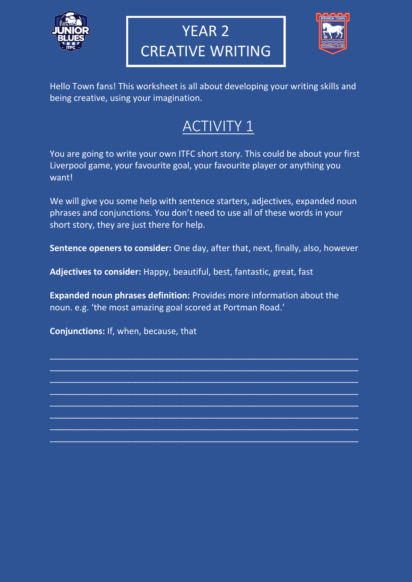

# YEAR 2 CREATIVE WRITING



Hello Town fans! This worksheet is all about developing your writing skills and being creative, using your imagination.

# ACTIVITY 1

You are going to write your own ITFC short story. This could be about your first Liverpool game, your favourite goal, your favourite player or anything you want!

We will give you some help with sentence starters, adjectives, expanded noun phrases and conjunctions. You don't need to use all of these words in your short story, they are just there for help.

**Sentence openers to consider:** One day, after that, next, finally, also, however

**Adjectives to consider:** Happy, beautiful, best, fantastic, great, fast

**Expanded noun phrases definition:** Provides more information about the noun. e.g. 'the most amazing goal scored at Portman Road.'

 $\_$  , and the set of the set of the set of the set of the set of the set of the set of the set of the set of the set of the set of the set of the set of the set of the set of the set of the set of the set of the set of th  $\overline{\phantom{a}}$  , and the contribution of the contribution of the contribution of the contribution of the contribution of the contribution of the contribution of the contribution of the contribution of the contribution of the  $\_$  , and the set of the set of the set of the set of the set of the set of the set of the set of the set of the set of the set of the set of the set of the set of the set of the set of the set of the set of the set of th  $\overline{\phantom{a}}$  , and the contribution of the contribution of the contribution of the contribution of the contribution of the contribution of the contribution of the contribution of the contribution of the contribution of the  $\overline{\phantom{a}}$  , and the contribution of the contribution of the contribution of the contribution of the contribution of the contribution of the contribution of the contribution of the contribution of the contribution of the  $\_$  , and the set of the set of the set of the set of the set of the set of the set of the set of the set of the set of the set of the set of the set of the set of the set of the set of the set of the set of the set of th  $\overline{\phantom{a}}$  , and the contribution of the contribution of the contribution of the contribution of the contribution of the contribution of the contribution of the contribution of the contribution of the contribution of the  $\_$  , and the set of the set of the set of the set of the set of the set of the set of the set of the set of the set of the set of the set of the set of the set of the set of the set of the set of the set of the set of th

**Conjunctions:** If, when, because, that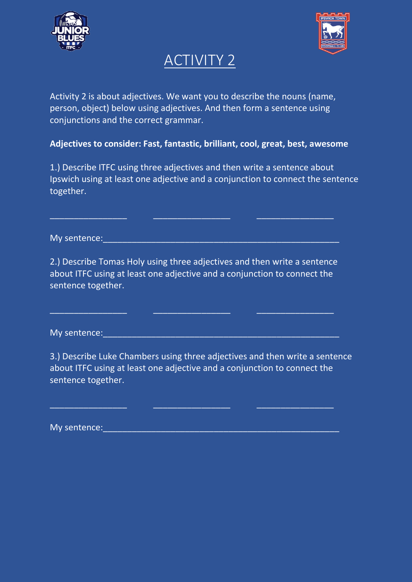



### ACTIVITY 2

Activity 2 is about adjectives. We want you to describe the nouns (name, person, object) below using adjectives. And then form a sentence using conjunctions and the correct grammar.

**Adjectives to consider: Fast, fantastic, brilliant, cool, great, best, awesome**

1.) Describe ITFC using three adjectives and then write a sentence about Ipswich using at least one adjective and a conjunction to connect the sentence together.

My sentence:

2.) Describe Tomas Holy using three adjectives and then write a sentence about ITFC using at least one adjective and a conjunction to connect the sentence together.

\_\_\_\_\_\_\_\_\_\_\_\_\_\_\_\_ \_\_\_\_\_\_\_\_\_\_\_\_\_\_\_\_ \_\_\_\_\_\_\_\_\_\_\_\_\_\_\_\_

 $\_$  , and the set of the set of the set of the set of the set of the set of the set of the set of the set of the set of the set of the set of the set of the set of the set of the set of the set of the set of the set of th

My sentence:

3.) Describe Luke Chambers using three adjectives and then write a sentence about ITFC using at least one adjective and a conjunction to connect the sentence together.

 $\overline{\phantom{a}}$  , and the contract of the contract of the contract of the contract of the contract of the contract of the contract of the contract of the contract of the contract of the contract of the contract of the contrac

My sentence: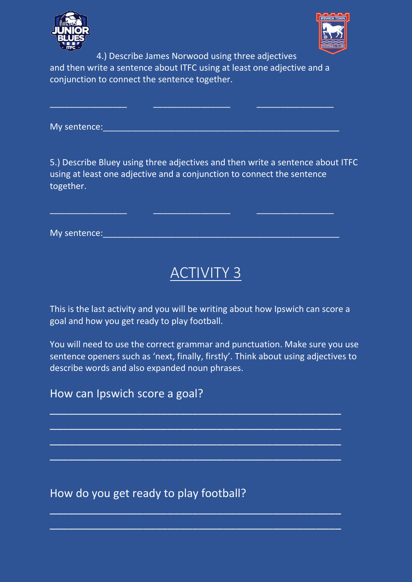



4.) Describe James Norwood using three adjectives and then write a sentence about ITFC using at least one adjective and a conjunction to connect the sentence together.

\_\_\_\_\_\_\_\_\_\_\_\_\_\_\_\_ \_\_\_\_\_\_\_\_\_\_\_\_\_\_\_\_ \_\_\_\_\_\_\_\_\_\_\_\_\_\_\_\_

My sentence:\_\_\_\_\_\_\_\_\_\_\_\_\_\_\_\_\_\_\_\_\_\_\_\_\_\_\_\_\_\_\_\_\_\_\_\_\_\_\_\_\_\_\_\_\_\_\_\_\_

5.) Describe Bluey using three adjectives and then write a sentence about ITFC using at least one adjective and a conjunction to connect the sentence together.

| My sentence: |  |  |  |  |
|--------------|--|--|--|--|
|              |  |  |  |  |

\_\_\_\_\_\_\_\_\_\_\_\_\_\_\_\_ \_\_\_\_\_\_\_\_\_\_\_\_\_\_\_\_ \_\_\_\_\_\_\_\_\_\_\_\_\_\_\_\_

## ACTIVITY 3

This is the last activity and you will be writing about how Ipswich can score a goal and how you get ready to play football.

You will need to use the correct grammar and punctuation. Make sure you use sentence openers such as 'next, finally, firstly'. Think about using adjectives to describe words and also expanded noun phrases.

 $\overline{\phantom{a}}$  , and the contribution of the contribution of  $\overline{\phantom{a}}$  , and  $\overline{\phantom{a}}$  , and  $\overline{\phantom{a}}$  , and  $\overline{\phantom{a}}$ 

 $\overline{\phantom{a}}$  , and the contribution of the contribution of  $\overline{\phantom{a}}$  , and  $\overline{\phantom{a}}$  , and  $\overline{\phantom{a}}$  , and  $\overline{\phantom{a}}$ 

 $\overline{\phantom{a}}$  , and the contribution of the contribution of  $\overline{\phantom{a}}$  , and  $\overline{\phantom{a}}$  , and  $\overline{\phantom{a}}$  , and  $\overline{\phantom{a}}$ 

 $\overline{\phantom{a}}$  , and the contribution of the contribution of  $\overline{\phantom{a}}$  , and  $\overline{\phantom{a}}$  , and  $\overline{\phantom{a}}$  , and  $\overline{\phantom{a}}$ 

 $\overline{\phantom{a}}$  , and the contribution of the contribution of  $\overline{\phantom{a}}$  , and  $\overline{\phantom{a}}$  , and  $\overline{\phantom{a}}$  , and  $\overline{\phantom{a}}$ 

#### How can Ipswich score a goal?

How do you get ready to play football?